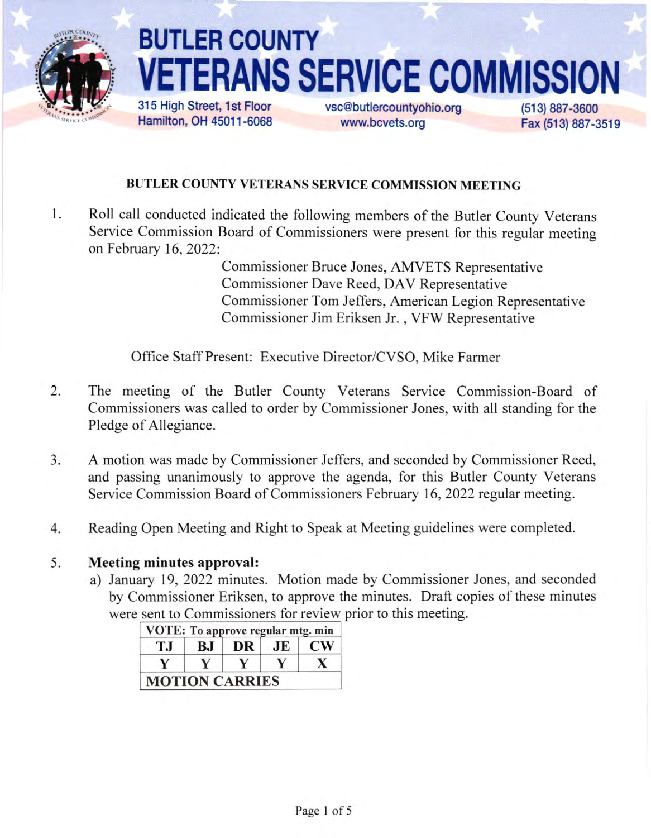

# BUTLER COUNTY **ANS SERVICE COMMISS** 315 High Street, 1st Floor

Hamilton, OH 45011 -6068

vsc@butlercountyohio.org www.bcvets.org

(513) 887-3600 Fax (513) 887-3519

### BUTLER COUNTY VETERANS SERVICE COMMISSION MEETING

I Roll call conducted indicated the following members of the Butler county veterans Service commission Board of commissioners were present for this regular meeting onFebruary 16,2022:

> Commissioner Bruce Jones, AMVETS Representative Commissioner Dave Reed, DAV Representative Commissioner Tom Jeffers, American Legion Representative Commissioner Jim Eriksen Jr. , VFW Representative

Office Staff Present: Executive Director/CVSO, Mike Farmer

- The meeting of the Butler County Veterans Service Commission-Board of Commissioners was called to order by Commissioner Jones, with all standing for the Pledge of Allegiance. 2.
- A motion was made by Commissioner Jeffers, and seconded by Commissioner Reed, and passing unanimously to approve the agenda, for this Butler County Veterans Service Commission Board of Commissioners February 16,2022 regular meeting.  $3.$
- Reading Open Meeting and Right to Speak at Meeting guidelines were completed. 4

#### Meeting minutes approval: 5.

a) January 19,2022 minutes. Motion made by Commissioner Jones, and seconded by Commissioner Eriksen, to approve the minutes. Draft copies of these minutes were sent to Commissioners for review prior to this meeting.

| ТJ | BJ | DR | JE | <b>CW</b> |
|----|----|----|----|-----------|
|    |    |    |    |           |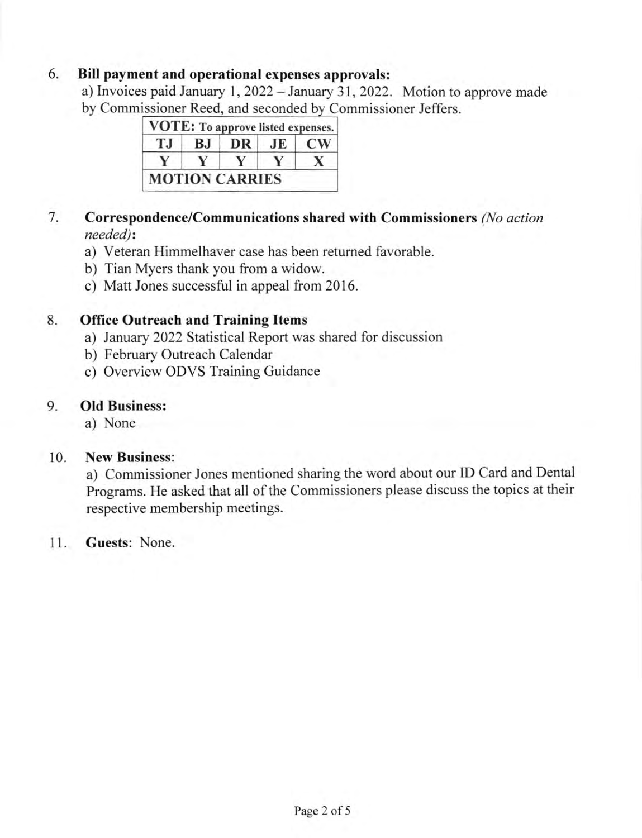#### 6. Bill payment and operational expenses approvals:

a) Invoices paid January 1,2022 - January 31,2022. Motion to approve made by Commissioner Reed, and seconded by Commissioner Jeffers.

| T.I | BJ | DR | JE     | <b>CW</b> |
|-----|----|----|--------|-----------|
|     |    |    | $\vee$ | x         |

#### 7 Correspondence/Communications shared with Commissioners (No action needed):

- a) Veteran Himmelhaver case has been retumed favorable.
- b) Tian Myers thank you from a widow.
- c) Matt Jones successful in appeal from 2016.

#### 8. Office Outreach and Training ltems

- a) January 2022 Statistical Report was shared for discussion
- b) February Outreach Calendar
- c) Overview ODVS Training Guidance

#### 9. Old Business:

a) None

#### 10. New Business:

a) Commissioner Jones mentioned sharing the word about our ID Card and Dental Programs. He asked that all of the Commissioners please discuss the topics at their respective membership meetings.

#### <sup>1</sup>1. Guests: None.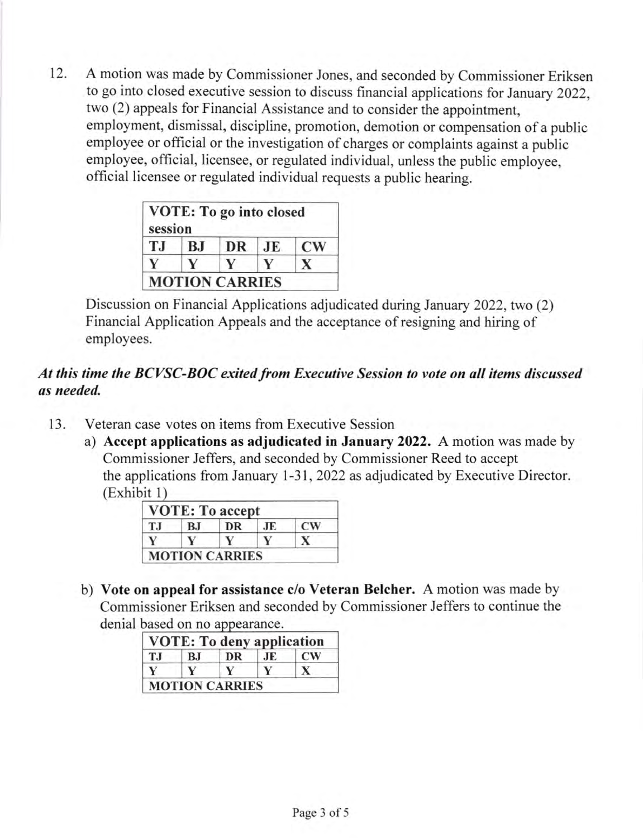12. A motion was made by Commissioner Jones, and seconded by Commissioner Eriksen to go into closed executive session to discuss financial applications for January 2022, two (2) appeals for Financial Assistance and to consider the appointment, employment, dismissal, discipline, promotion, demotion or compensation of a public employee or official or the investigation of charges or complaints against a public employee, official, licensee, or regulated individual, unless the public employee, official licensee or regulated individual requests a public hearing.

| session |    | VOTE: To go into closed |    |               |
|---------|----|-------------------------|----|---------------|
| T.I     | BJ | DR                      | JE | $\mathbf{CW}$ |
|         |    |                         |    | $\mathbf{x}$  |
|         |    | <b>MOTION CARRIES</b>   |    |               |

Discussion on Financial Applications adjudicated during January 2022, two (2) Financial Application Appeals and the acceptance of resigning and hiring of employees.

#### At this time the BCVSC-BOC exited from Executive Session to vote on all items discussed as needed.

- 13. Veteran case votes on items from Executive Session
	- a) Accept applications as adjudicated in January 2022. A motion was made by Commissioner Jeffers, and seconded by Commissioner Reed to accept the applications from January l-31,2022 as adjudicated by Executive Director. (Exhibit <sup>I</sup>

| T.I | BJ | DR | JE. | <b>CW</b> |
|-----|----|----|-----|-----------|
|     |    |    |     |           |

denial based on no appearance. b) Vote on appeal for assistance c/o Veteran Belcher. A motion was made by Commissioner Eriksen and seconded by Commissioner Jeffers to continue the

| T.I | B.I | DR | JE. | <b>CW</b> |
|-----|-----|----|-----|-----------|
|     |     |    |     |           |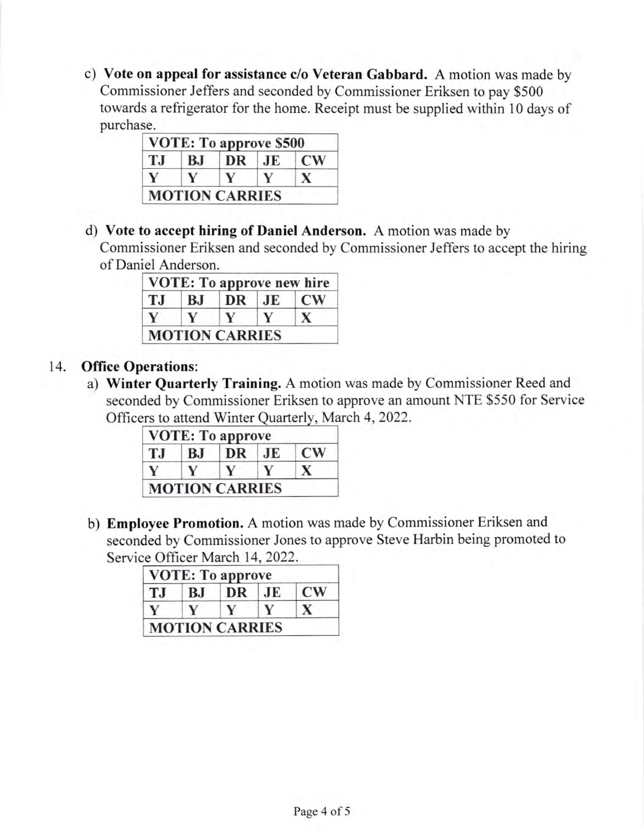c) Vote on appeal for assistance c/o Veteran Gabbard. A motion was made by Commissioner Jeffers and seconded by Commissioner Eriksen to pay \$500 towards a refrigerator for the home. Receipt must be supplied within l0 days of purchase.

|     |    | VOTE: To approve \$500 |     |                        |
|-----|----|------------------------|-----|------------------------|
| T.J | BJ | DR                     | J E | $\mathbf{C}\mathbf{W}$ |
|     |    |                        |     |                        |
|     |    | <b>MOTION CARRIES</b>  |     |                        |

d) Vote to accept hiring of Daniel Anderson. A motion was made by

Commissioner Eriksen and seconded by Commissioner Jeffers to accept the hiring of Daniel Anderson.

| <b>TJ</b> | BJ | DR JE | $\mathbf{C}\mathbf{W}$ |
|-----------|----|-------|------------------------|
| V         | v  | V     | $\mathbf{X}$           |

#### 14. Office Operations:

a) Winter Quarterly Training. A motion was made by Commissioner Reed and seconded by Commissioner Eriksen to approve an amount NTE \$550 for Service Officers to attend Winter Quarterly, March 4, 2022.

| T.I | B.I | DR | .IE | $\mathbf{C}\mathbf{W}$ |
|-----|-----|----|-----|------------------------|
|     |     |    |     |                        |

b) Emptoyee Promotion. A motion was made by Commissioner Eriksen and seconded by Commissioner Jones to approve Steve Harbin being promoted to Service Officer March 14, 2022.

| T.I | BJ | DR | .JE | <b>CW</b> |
|-----|----|----|-----|-----------|
|     |    |    |     |           |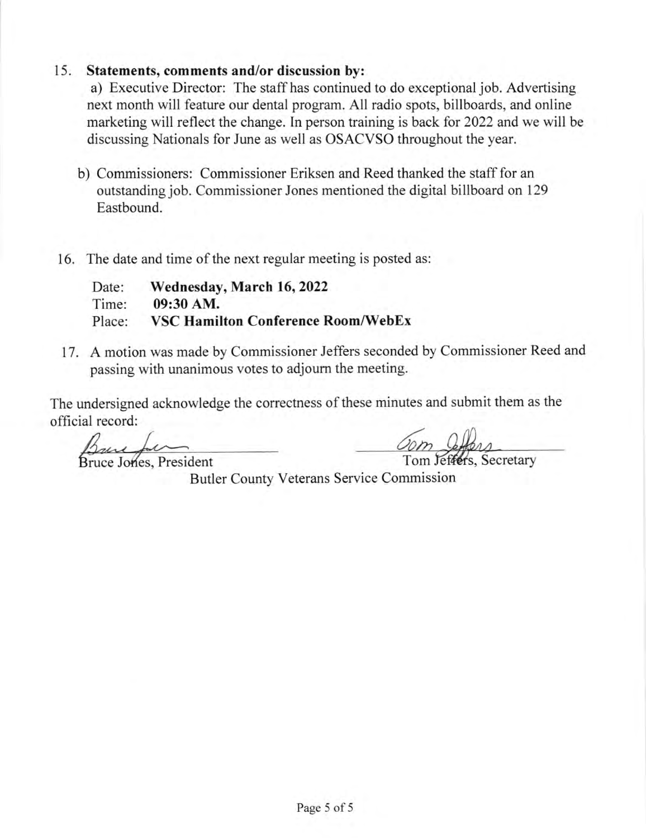#### 15. Statements, comments and/or discussion by:

a) Executive Director: The staff has continued to do exceptional job. Advertising next month will feature our dental program. All radio spots, billboards, and online marketing will reflect the change. In person training is back for 2022 and we will be discussing Nationals for June as well as OSACVSO throughout the year.

- b) Commissioners: Commissioner Eriksen and Reed thanked the staff for an outstanding job. Commissioner Jones mentioned the digital billboard on 129 Eastbound.
- 16. The date and time of the next regular meeting is posted as:

| Date:  | Wednesday, March 16, 2022                 |
|--------|-------------------------------------------|
| Time:  | 09:30 AM.                                 |
| Place: | <b>VSC Hamilton Conference Room/WebEx</b> |

17. A motion was made by Commissioner Jeffers seconded by Commissioner Reed and passing with unanimous votes to adjoum the meeting.

The undersigned acknowledge the correctness of these minutes and submit them as the official record:

Bruce Jones, President

Butler County Veterans Service Commission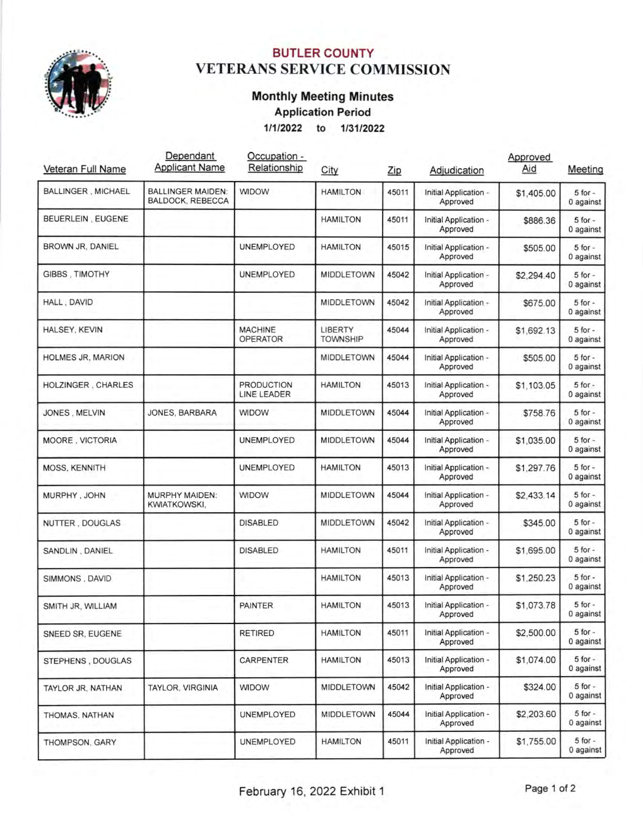

### BUTLER COUNTY VETERANS SERVICE COMMISSION

## Monthly Meeting Minutes

Application Period

'11112022 to <sup>113112022</sup>

| Veteran Full Name         | Dependant<br><b>Applicant Name</b>           | Occupation -<br>Relationship            | City                              | Zip   | Adjudication                      | Approved<br>Aid | Meeting                  |
|---------------------------|----------------------------------------------|-----------------------------------------|-----------------------------------|-------|-----------------------------------|-----------------|--------------------------|
| <b>BALLINGER, MICHAEL</b> | <b>BALLINGER MAIDEN:</b><br>BALDOCK, REBECCA | <b>WIDOW</b>                            | <b>HAMILTON</b>                   | 45011 | Initial Application -<br>Approved | \$1,405.00      | $5$ for $-$<br>0 against |
| BEUERLEIN, EUGENE         |                                              |                                         | <b>HAMILTON</b>                   | 45011 | Initial Application -<br>Approved | \$886.36        | $5$ for $-$<br>0 against |
| BROWN JR, DANIEL          |                                              | <b>UNEMPLOYED</b>                       | <b>HAMILTON</b>                   | 45015 | Initial Application -<br>Approved | \$505.00        | $5$ for $-$<br>0 against |
| GIBBS, TIMOTHY            |                                              | UNEMPLOYED                              | <b>MIDDLETOWN</b>                 | 45042 | Initial Application -<br>Approved | \$2,294.40      | $5$ for $-$<br>0 against |
| HALL, DAVID               |                                              |                                         | <b>MIDDLETOWN</b>                 | 45042 | Initial Application -<br>Approved | \$675.00        | $5$ for $-$<br>0 against |
| HALSEY, KEVIN             |                                              | <b>MACHINE</b><br><b>OPERATOR</b>       | <b>LIBERTY</b><br><b>TOWNSHIP</b> | 45044 | Initial Application -<br>Approved | \$1,692.13      | $5$ for $-$<br>0 against |
| <b>HOLMES JR, MARION</b>  |                                              |                                         | <b>MIDDLETOWN</b>                 | 45044 | Initial Application -<br>Approved | \$505.00        | $5$ for $-$<br>0 against |
| HOLZINGER, CHARLES        |                                              | <b>PRODUCTION</b><br><b>LINE LEADER</b> | <b>HAMILTON</b>                   | 45013 | Initial Application -<br>Approved | \$1,103.05      | $5$ for $-$<br>0 against |
| JONES, MELVIN             | JONES, BARBARA                               | <b>WIDOW</b>                            | <b>MIDDLETOWN</b>                 | 45044 | Initial Application -<br>Approved | \$758.76        | $5$ for $-$<br>0 against |
| MOORE, VICTORIA           |                                              | <b>UNEMPLOYED</b>                       | <b>MIDDLETOWN</b>                 | 45044 | Initial Application -<br>Approved | \$1,035.00      | $5$ for $-$<br>0 against |
| <b>MOSS, KENNITH</b>      |                                              | <b>UNEMPLOYED</b>                       | <b>HAMILTON</b>                   | 45013 | Initial Application -<br>Approved | \$1,297.76      | $5$ for $-$<br>0 against |
| MURPHY, JOHN              | <b>MURPHY MAIDEN:</b><br><b>KWIATKOWSKI,</b> | <b>WIDOW</b>                            | <b>MIDDLETOWN</b>                 | 45044 | Initial Application -<br>Approved | \$2,433.14      | $5$ for $-$<br>0 against |
| NUTTER, DOUGLAS           |                                              | <b>DISABLED</b>                         | <b>MIDDLETOWN</b>                 | 45042 | Initial Application -<br>Approved | \$345.00        | $5$ for $-$<br>0 against |
| SANDLIN, DANIEL           |                                              | <b>DISABLED</b>                         | <b>HAMILTON</b>                   | 45011 | Initial Application -<br>Approved | \$1,695.00      | $5$ for $-$<br>0 against |
| SIMMONS, DAVID            |                                              |                                         | <b>HAMILTON</b>                   | 45013 | Initial Application -<br>Approved | \$1,250.23      | $5$ for $-$<br>0 against |
| SMITH JR, WILLIAM         |                                              | <b>PAINTER</b>                          | <b>HAMILTON</b>                   | 45013 | Initial Application -<br>Approved | \$1,073.78      | $5$ for $-$<br>0 against |
| SNEED SR, EUGENE          |                                              | <b>RETIRED</b>                          | <b>HAMILTON</b>                   | 45011 | Initial Application -<br>Approved | \$2,500.00      | $5$ for $-$<br>0 against |
| STEPHENS, DOUGLAS         |                                              | <b>CARPENTER</b>                        | <b>HAMILTON</b>                   | 45013 | Initial Application -<br>Approved | \$1,074.00      | $5$ for $-$<br>0 against |
| TAYLOR JR, NATHAN         | TAYLOR, VIRGINIA                             | WIDOW                                   | <b>MIDDLETOWN</b>                 | 45042 | Initial Application -<br>Approved | \$324.00        | $5$ for $-$<br>0 against |
| THOMAS, NATHAN            |                                              | UNEMPLOYED                              | <b>MIDDLETOWN</b>                 | 45044 | Initial Application -<br>Approved | \$2,203.60      | $5$ for $-$<br>0 against |
| THOMPSON, GARY            |                                              | UNEMPLOYED                              | <b>HAMILTON</b>                   | 45011 | Initial Application -<br>Approved | \$1,755.00      | $5$ for $-$<br>0 against |